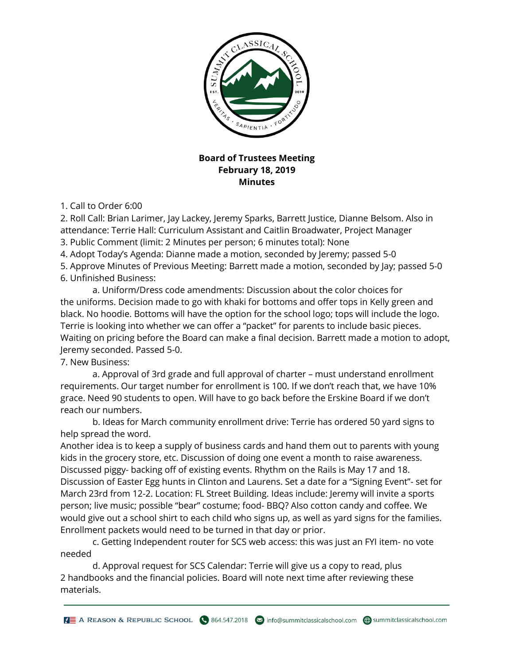

## **Board of Trustees Meeting February 18, 2019 Minutes**

1. Call to Order 6:00

2. Roll Call: Brian Larimer, Jay Lackey, Jeremy Sparks, Barrett Justice, Dianne Belsom. Also in attendance: Terrie Hall: Curriculum Assistant and Caitlin Broadwater, Project Manager

3. Public Comment (limit: 2 Minutes per person; 6 minutes total): None

4. Adopt Today's Agenda: Dianne made a motion, seconded by Jeremy; passed 5-0

5. Approve Minutes of Previous Meeting: Barrett made a motion, seconded by Jay; passed 5-0 6. Unfinished Business:

 a. Uniform/Dress code amendments: Discussion about the color choices for the uniforms. Decision made to go with khaki for bottoms and offer tops in Kelly green and black. No hoodie. Bottoms will have the option for the school logo; tops will include the logo. Terrie is looking into whether we can offer a "packet" for parents to include basic pieces. Waiting on pricing before the Board can make a final decision. Barrett made a motion to adopt, Jeremy seconded. Passed 5-0.

7. New Business:

 a. Approval of 3rd grade and full approval of charter – must understand enrollment requirements. Our target number for enrollment is 100. If we don't reach that, we have 10% grace. Need 90 students to open. Will have to go back before the Erskine Board if we don't reach our numbers.

 b. Ideas for March community enrollment drive: Terrie has ordered 50 yard signs to help spread the word.

Another idea is to keep a supply of business cards and hand them out to parents with young kids in the grocery store, etc. Discussion of doing one event a month to raise awareness. Discussed piggy- backing off of existing events. Rhythm on the Rails is May 17 and 18. Discussion of Easter Egg hunts in Clinton and Laurens. Set a date for a "Signing Event"- set for March 23rd from 12-2. Location: FL Street Building. Ideas include: Jeremy will invite a sports person; live music; possible "bear" costume; food- BBQ? Also cotton candy and coffee. We would give out a school shirt to each child who signs up, as well as yard signs for the families. Enrollment packets would need to be turned in that day or prior.

 c. Getting Independent router for SCS web access: this was just an FYI item- no vote needed

 d. Approval request for SCS Calendar: Terrie will give us a copy to read, plus 2 handbooks and the financial policies. Board will note next time after reviewing these materials.